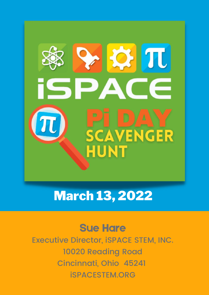

### March 13, 2022

#### Sue Hare

Executive Director, iSPACE STEM, INC. 10020 Reading Road Cincinnati, Ohio 45241 iSPACESTEM.ORG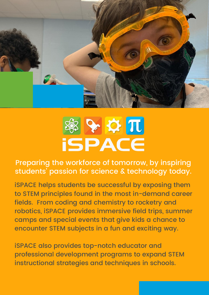

## ※ ♀ ☆ 兀 **ISPACE**

Preparing the workforce of tomorrow, by inspiring students ' passion for science & technology today.

iSPACE helps students be successful by exposing them to STEM principles found in the most in-demand career fields. From coding and chemistry to rocketry and robotics, iSPACE provides immersive field trips, summer camps and special events that give kids a chance to encounter STEM subjects in a fun and exciting way.

iSPACE also provides top-notch educator and professional development programs to expand STEM instructional strategies and techniques in schools.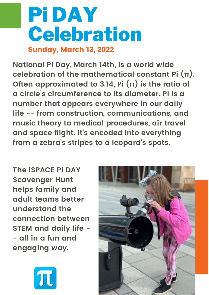## Pi DAY Celebration Sunday, March 13, 2022

**National Pi Day, March 14th, is a world wide celebration of the mathematical constant Pi (π). Often approximated to 3.14, Pi (π) is the ratio of a circle ' s circumference to its diameter. PI is a number that appears everywhere in our daily life -- from construction, communications, and music theory to medical procedures, air travel and space flight. It' s encoded into everything from a zebra 's stripes to a leopard' s spots.**

**The iSPACE Pi DAY Scavenger Hunt helps family and adult teams better understand the connection between STEM and daily life - - all in a fun and engaging way.**



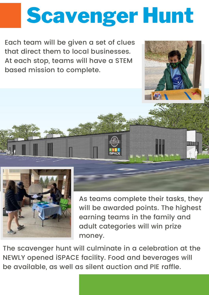## Scavenger Hunt

Each team will be given a set of clues that direct them to local businesses. At each stop, teams will have a STEM based mission to complete.



As teams complete their tasks, they will be awarded points. The highest earning teams in the family and adult categories will win prize money.

The scavenger hunt will culminate in a celebration at the NEWLY opened iSPACE facility. Food and beverages will be available, as well as silent auction and PIE raffle.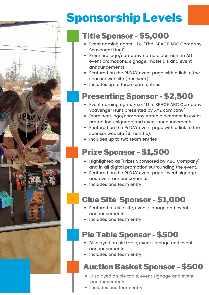## Sponsorship Levels

#### Title Sponsor - \$5,000

- Event naming rights i.e. "The iSPACE ABC Company Scavenger Hunt"
- Premiere logo/company name placement in ALL event promotions, signage, materials and event announcements.
- Featured on the Pi DAY event page with a link to the sponsor website (one year).
- Includes up to three team entries

#### Presenting Sponsor - \$2,500

- Event naming rights i.e. "The iSPACE ABC Company Scavenger Hunt presented by XYZ company"
- Prominent logo/company name placement in event promotions, signage and event announcements.
- Featured on the Pi DAY event page with a link to the sponsor website (6 months).
- Includes up to two team entries

#### Prize Sponsor - \$1,500

- Highlighted as "Prizes Sponsored by ABC Company" and in all digital promotion surrounding the event.
- Featured on the Pi DAY event page, event signage and event announcements.
- Includes one team entry

#### Clue Site Sponsor - \$1,000

- Featured at clue site, event signage and event announcements.
- Includes one team entry

#### Pie Table Sponsor - \$500

- Displayed on pie table, event signage and event announcements.
- Includes one team entry

#### Auction Basket Sponsor - \$500

- Displayed on pie table, event signage and event announcements.
- Includes one team entry